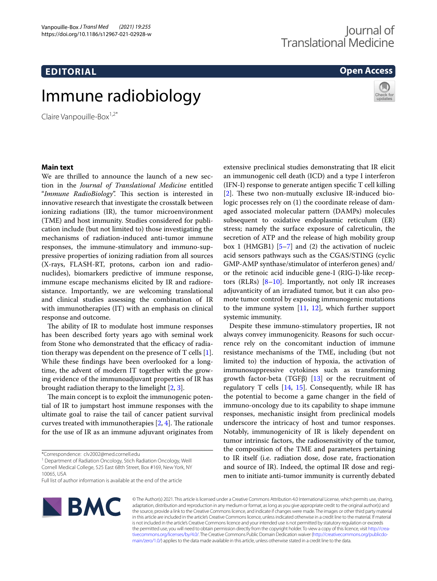## **EDITORIAL**

# Immune radiobiology

Claire Vanpouille-Box $1,2^*$ 

# Journal of Translational Medicine

### **Open Access**



#### **Main text**

We are thrilled to announce the launch of a new section in the *Journal of Translational Medicine* entitled "Immune RadioBiology". This section is interested in innovative research that investigate the crosstalk between ionizing radiations (IR), the tumor microenvironment (TME) and host immunity. Studies considered for publication include (but not limited to) those investigating the mechanisms of radiation-induced anti-tumor immune responses, the immune-stimulatory and immuno-suppressive properties of ionizing radiation from all sources (X-rays, FLASH-RT, protons, carbon ion and radionuclides), biomarkers predictive of immune response, immune escape mechanisms elicited by IR and radioresistance. Importantly, we are welcoming translational and clinical studies assessing the combination of IR with immunotherapies (IT) with an emphasis on clinical response and outcome.

The ability of IR to modulate host immune responses has been described forty years ago with seminal work from Stone who demonstrated that the efficacy of radiation therapy was dependent on the presence of T cells [\[1](#page-1-0)]. While these fndings have been overlooked for a longtime, the advent of modern IT together with the growing evidence of the immunoadjuvant properties of IR has brought radiation therapy to the limelight [[2,](#page-1-1) [3](#page-1-2)].

The main concept is to exploit the immunogenic potential of IR to jumpstart host immune responses with the ultimate goal to raise the tail of cancer patient survival curves treated with immunotherapies  $[2, 4]$  $[2, 4]$  $[2, 4]$  $[2, 4]$ . The rationale for the use of IR as an immune adjuvant originates from

<sup>1</sup> Department of Radiation Oncology, Stich Radiation Oncology, Weill Cornell Medical College, 525 East 68th Street, Box #169, New York, NY 10065, USA

Full list of author information is available at the end of the article



© The Author(s) 2021. This article is licensed under a Creative Commons Attribution 4.0 International License, which permits use, sharing, adaptation, distribution and reproduction in any medium or format, as long as you give appropriate credit to the original author(s) and the source, provide a link to the Creative Commons licence, and indicate if changes were made. The images or other third party material in this article are included in the article's Creative Commons licence, unless indicated otherwise in a credit line to the material. If material is not included in the article's Creative Commons licence and your intended use is not permitted by statutory regulation or exceeds the permitted use, you will need to obtain permission directly from the copyright holder. To view a copy of this licence, visit http://crea· [tivecommons.org/licenses/by/4.0/.](http://creativecommons.org/licenses/by/4.0/) The Creative Commons Public Domain Dedication waiver (http://creativecommons.org/publicdo[main/zero/1.0/\)](http://creativecommons.org/publicdomain/zero/1.0/) applies to the data made available in this article, unless otherwise stated in a credit line to the data.

extensive preclinical studies demonstrating that IR elicit an immunogenic cell death (ICD) and a type I interferon (IFN-I) response to generate antigen specifc T cell killing  $[2]$  $[2]$ . These two non-mutually exclusive IR-induced biologic processes rely on (1) the coordinate release of damaged associated molecular pattern (DAMPs) molecules subsequent to oxidative endoplasmic reticulum (ER) stress; namely the surface exposure of calreticulin, the secretion of ATP and the release of high mobility group box 1 (HMGB1)  $[5-7]$  $[5-7]$  and (2) the activation of nucleic acid sensors pathways such as the CGAS/STING (cyclic GMP-AMP synthase/stimulator of interferon genes) and/ or the retinoic acid inducible gene-I (RIG-I)-like receptors (RLRs)  $[8-10]$  $[8-10]$ . Importantly, not only IR increases adjuvanticity of an irradiated tumor, but it can also promote tumor control by exposing immunogenic mutations to the immune system [\[11](#page-1-8), [12\]](#page-1-9), which further support systemic immunity.

Despite these immuno-stimulatory properties, IR not always convey immunogenicity. Reasons for such occurrence rely on the concomitant induction of immune resistance mechanisms of the TME, including (but not limited to) the induction of hypoxia, the activation of immunosuppressive cytokines such as transforming growth factor-beta (TGFβ)  $[13]$  or the recruitment of regulatory T cells  $[14, 15]$  $[14, 15]$  $[14, 15]$  $[14, 15]$ . Consequently, while IR has the potential to become a game changer in the feld of immuno-oncology due to its capability to shape immune responses, mechanistic insight from preclinical models underscore the intricacy of host and tumor responses. Notably, immunogenicity of IR is likely dependent on tumor intrinsic factors, the radiosensitivity of the tumor, the composition of the TME and parameters pertaining to IR itself (i.e. radiation dose, dose rate, fractionation and source of IR). Indeed, the optimal IR dose and regimen to initiate anti-tumor immunity is currently debated

<sup>\*</sup>Correspondence: clv2002@med.cornell.edu